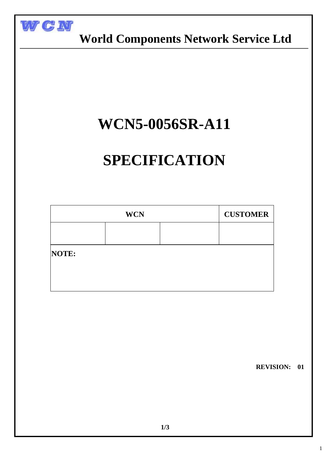

 **World Components Network Service Ltd**

## **WCN5-0056SR-A11**

# **SPECIFICATION**

| <b>WCN</b> |  |  | <b>CUSTOMER</b> |
|------------|--|--|-----------------|
|            |  |  |                 |
| NOTE:      |  |  |                 |
|            |  |  |                 |
|            |  |  |                 |

 **REVISION: 01**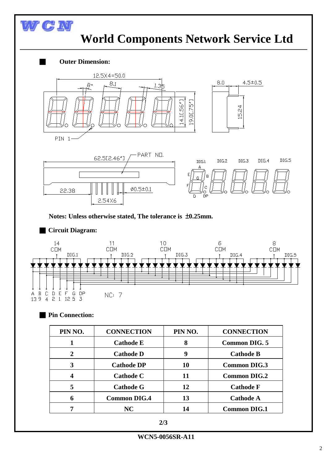

■ **Circuit Diagram:**



#### ■ **Pin Connection:**

| PIN NO.                     | <b>CONNECTION</b>   | PIN NO. | <b>CONNECTION</b>    |
|-----------------------------|---------------------|---------|----------------------|
|                             | <b>Cathode E</b>    | 8       | <b>Common DIG. 5</b> |
| $\mathcal{D}_{\mathcal{L}}$ | <b>Cathode D</b>    | 9       | <b>Cathode B</b>     |
| 3                           | <b>Cathode DP</b>   | 10      | <b>Common DIG.3</b>  |
|                             | <b>Cathode C</b>    | 11      | <b>Common DIG.2</b>  |
| 5                           | <b>Cathode G</b>    | 12      | <b>Cathode F</b>     |
| 6                           | <b>Common DIG.4</b> | 13      | <b>Cathode A</b>     |
|                             | NC                  | 14      | <b>Common DIG.1</b>  |